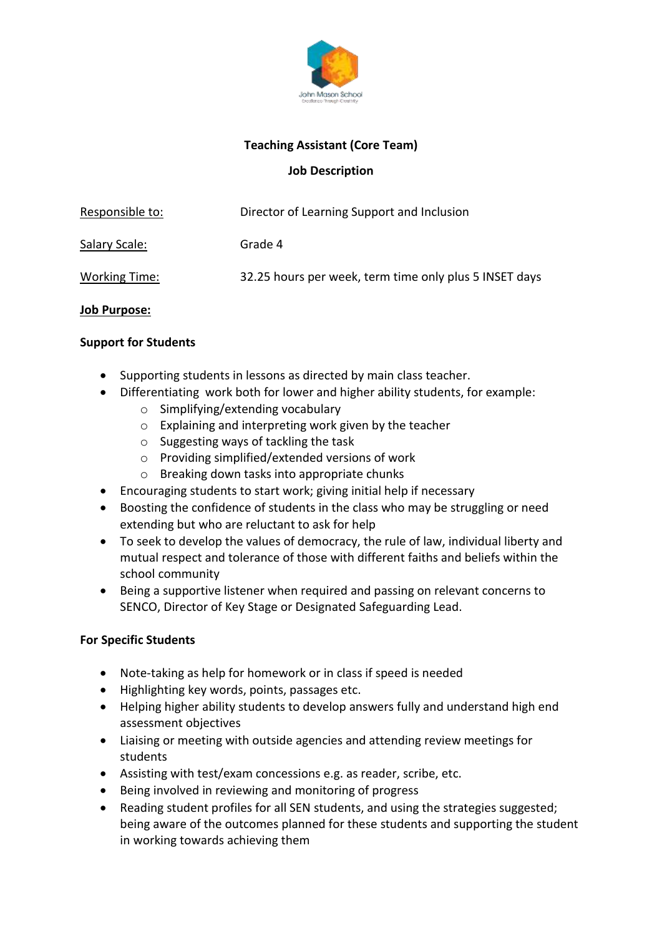

# **Teaching Assistant (Core Team)**

# **Job Description**

| Responsible to:      | Director of Learning Support and Inclusion             |  |
|----------------------|--------------------------------------------------------|--|
| <u>Salary Scale:</u> | Grade 4                                                |  |
| <b>Working Time:</b> | 32.25 hours per week, term time only plus 5 INSET days |  |
|                      |                                                        |  |

# **Job Purpose:**

# **Support for Students**

- Supporting students in lessons as directed by main class teacher.
- Differentiating work both for lower and higher ability students, for example:
	- o Simplifying/extending vocabulary
	- o Explaining and interpreting work given by the teacher
	- o Suggesting ways of tackling the task
	- o Providing simplified/extended versions of work
	- o Breaking down tasks into appropriate chunks
- Encouraging students to start work; giving initial help if necessary
- Boosting the confidence of students in the class who may be struggling or need extending but who are reluctant to ask for help
- To seek to develop the values of democracy, the rule of law, individual liberty and mutual respect and tolerance of those with different faiths and beliefs within the school community
- Being a supportive listener when required and passing on relevant concerns to SENCO, Director of Key Stage or Designated Safeguarding Lead.

# **For Specific Students**

- Note-taking as help for homework or in class if speed is needed
- Highlighting key words, points, passages etc.
- Helping higher ability students to develop answers fully and understand high end assessment objectives
- Liaising or meeting with outside agencies and attending review meetings for students
- Assisting with test/exam concessions e.g. as reader, scribe, etc.
- Being involved in reviewing and monitoring of progress
- Reading student profiles for all SEN students, and using the strategies suggested; being aware of the outcomes planned for these students and supporting the student in working towards achieving them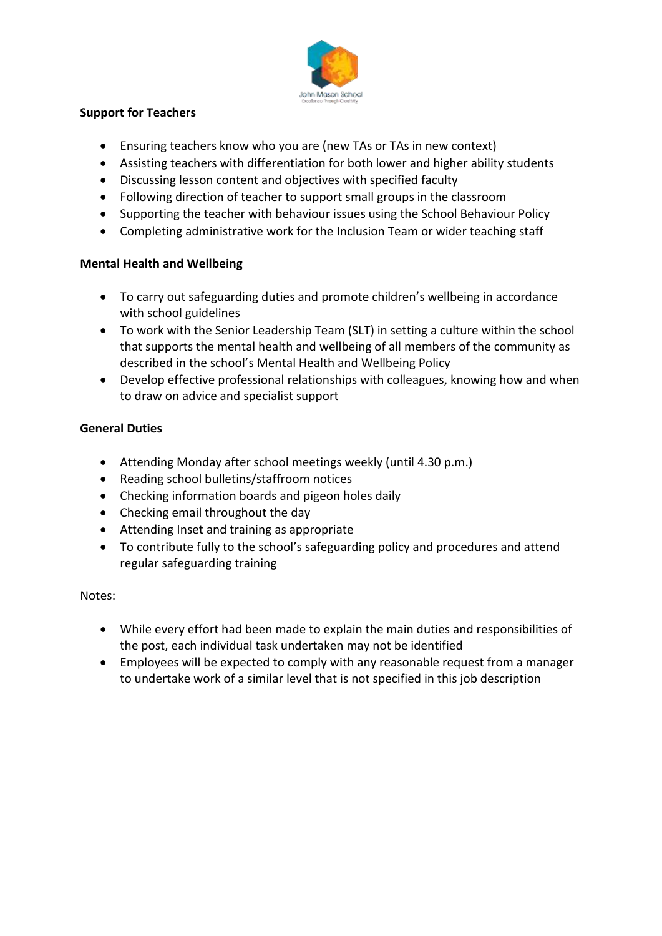

# **Support for Teachers**

- Ensuring teachers know who you are (new TAs or TAs in new context)
- Assisting teachers with differentiation for both lower and higher ability students
- Discussing lesson content and objectives with specified faculty
- Following direction of teacher to support small groups in the classroom
- Supporting the teacher with behaviour issues using the School Behaviour Policy
- Completing administrative work for the Inclusion Team or wider teaching staff

# **Mental Health and Wellbeing**

- To carry out safeguarding duties and promote children's wellbeing in accordance with school guidelines
- To work with the Senior Leadership Team (SLT) in setting a culture within the school that supports the mental health and wellbeing of all members of the community as described in the school's Mental Health and Wellbeing Policy
- Develop effective professional relationships with colleagues, knowing how and when to draw on advice and specialist support

# **General Duties**

- Attending Monday after school meetings weekly (until 4.30 p.m.)
- Reading school bulletins/staffroom notices
- Checking information boards and pigeon holes daily
- Checking email throughout the day
- Attending Inset and training as appropriate
- To contribute fully to the school's safeguarding policy and procedures and attend regular safeguarding training

# Notes:

- While every effort had been made to explain the main duties and responsibilities of the post, each individual task undertaken may not be identified
- Employees will be expected to comply with any reasonable request from a manager to undertake work of a similar level that is not specified in this job description